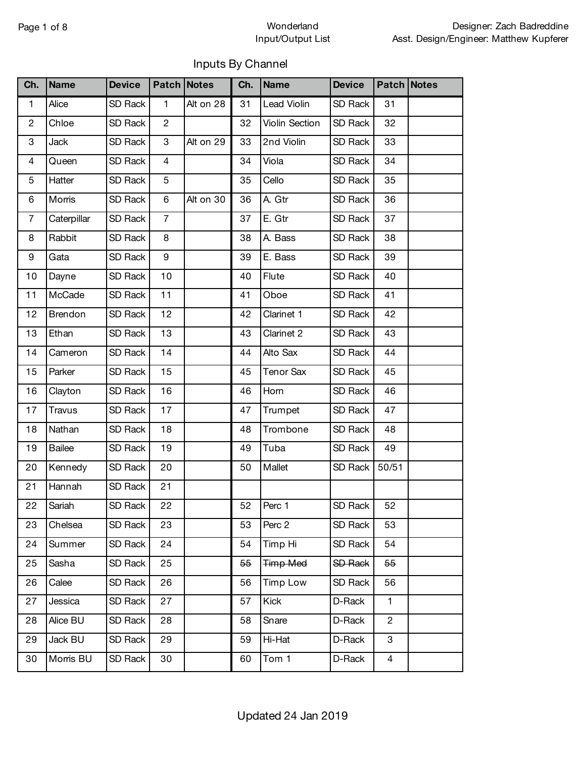#### Page 1 of 8 Wonderland Input/Output List

#### Inputs By Channel

| Ch.            | <b>Name</b>   | <b>Device</b> |                | Patch Notes | Ch. | <b>Name</b>      | <b>Device</b>  | Patch Notes    |  |
|----------------|---------------|---------------|----------------|-------------|-----|------------------|----------------|----------------|--|
| $\mathbf{1}$   | Alice         | SD Rack       | $\mathbf{1}$   | Alt on 28   | 31  | Lead Violin      | SD Rack        | 31             |  |
| $\overline{c}$ | Chloe         | SD Rack       | $\mathbf{2}$   |             | 32  | Violin Section   | SD Rack        | 32             |  |
| 3              | <b>Jack</b>   | SD Rack       | 3              | Alt on 29   | 33  | 2nd Violin       | SD Rack        | 33             |  |
| 4              | Queen         | SD Rack       | 4              |             | 34  | Viola            | SD Rack        | 34             |  |
| 5              | Hatter        | SD Rack       | 5              |             | 35  | Cello            | SD Rack        | 35             |  |
| 6              | Morris        | SD Rack       | 6              | Alt on 30   | 36  | A. Gtr           | SD Rack        | 36             |  |
| $\overline{7}$ | Caterpillar   | SD Rack       | $\overline{7}$ |             | 37  | E. Gtr           | SD Rack        | 37             |  |
| 8              | Rabbit        | SD Rack       | 8              |             | 38  | A. Bass          | SD Rack        | 38             |  |
| 9              | Gata          | SD Rack       | 9              |             | 39  | E. Bass          | SD Rack        | 39             |  |
| 10             | Dayne         | SD Rack       | 10             |             | 40  | Flute            | SD Rack        | 40             |  |
| 11             | McCade        | SD Rack       | 11             |             | 41  | Oboe             | SD Rack        | 41             |  |
| 12             | Brendon       | SD Rack       | 12             |             | 42  | Clarinet 1       | SD Rack        | 42             |  |
| 13             | Ethan         | SD Rack       | 13             |             | 43  | Clarinet 2       | SD Rack        | 43             |  |
| 14             | Cameron       | SD Rack       | 14             |             | 44  | Alto Sax         | SD Rack        | 44             |  |
| 15             | Parker        | SD Rack       | 15             |             | 45  | <b>Tenor Sax</b> | SD Rack        | 45             |  |
| 16             | Clayton       | SD Rack       | 16             |             | 46  | Horn             | SD Rack        | 46             |  |
| 17             | Travus        | SD Rack       | 17             |             | 47  | Trumpet          | SD Rack        | 47             |  |
| 18             | Nathan        | SD Rack       | 18             |             | 48  | Trombone         | SD Rack        | 48             |  |
| 19             | <b>Bailee</b> | SD Rack       | 19             |             | 49  | Tuba             | SD Rack        | 49             |  |
| 20             | Kennedy       | SD Rack       | 20             |             | 50  | Mallet           | SD Rack        | 50/51          |  |
| 21             | Hannah        | SD Rack       | 21             |             |     |                  |                |                |  |
| 22             | Sariah        | SD Rack       | 22             |             | 52  | Perc 1           | SD Rack        | 52             |  |
| 23             | Chelsea       | SD Rack       | 23             |             | 53  | Perc 2           | SD Rack        | 53             |  |
| 24             | Summer        | SD Rack       | 24             |             | 54  | Timp Hi          | <b>SD Rack</b> | 54             |  |
| 25             | Sasha         | SD Rack       | 25             |             | 55  | <b>Timp Med</b>  | <b>SD Rack</b> | 55             |  |
| 26             | Calee         | SD Rack       | 26             |             | 56  | <b>Timp Low</b>  | SD Rack        | 56             |  |
| 27             | Jessica       | SD Rack       | 27             |             | 57  | <b>Kick</b>      | D-Rack         | 1              |  |
| 28             | Alice BU      | SD Rack       | 28             |             | 58  | Snare            | D-Rack         | $\overline{2}$ |  |
| 29             | Jack BU       | SD Rack       | 29             |             | 59  | Hi-Hat           | D-Rack         | 3              |  |
| 30             | Morris BU     | SD Rack       | 30             |             | 60  | Tom 1            | D-Rack         | 4              |  |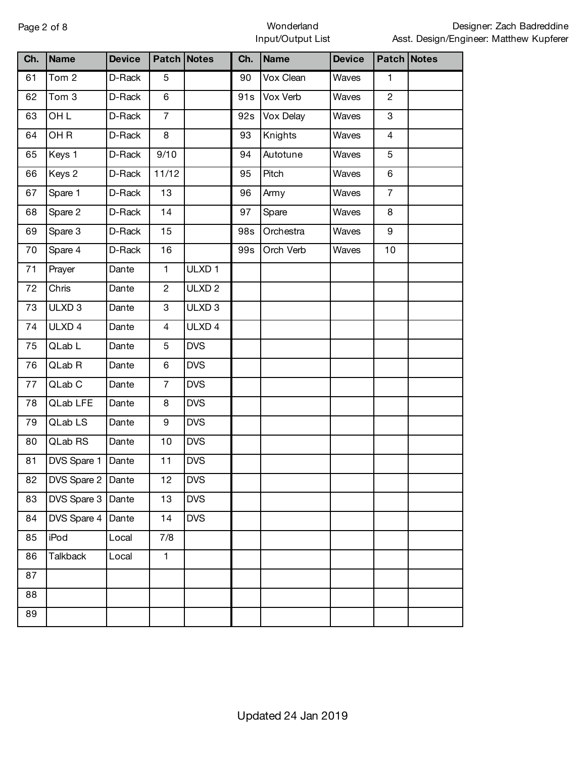#### Page 2 of 8 Wonderland Input/Output List

| Ch. | <b>Name</b>       | <b>Device</b> |                | Patch Notes       | Ch. | <b>Name</b> | <b>Device</b> |                | Patch Notes |
|-----|-------------------|---------------|----------------|-------------------|-----|-------------|---------------|----------------|-------------|
| 61  | Tom <sub>2</sub>  | D-Rack        | 5              |                   | 90  | Vox Clean   | Waves         | 1              |             |
| 62  | Tom 3             | D-Rack        | 6              |                   | 91s | Vox Verb    | Waves         | $\mathbf{2}$   |             |
| 63  | <b>OHL</b>        | D-Rack        | $\overline{7}$ |                   | 92s | Vox Delay   | Waves         | 3              |             |
| 64  | OH <sub>R</sub>   | D-Rack        | 8              |                   | 93  | Knights     | Waves         | $\overline{4}$ |             |
| 65  | Keys 1            | D-Rack        | 9/10           |                   | 94  | Autotune    | Waves         | 5              |             |
| 66  | Keys 2            | D-Rack        | 11/12          |                   | 95  | Pitch       | Waves         | 6              |             |
| 67  | Spare 1           | D-Rack        | 13             |                   | 96  | Army        | Waves         | $\overline{7}$ |             |
| 68  | Spare 2           | D-Rack        | 14             |                   | 97  | Spare       | Waves         | 8              |             |
| 69  | Spare 3           | D-Rack        | 15             |                   | 98s | Orchestra   | Waves         | 9              |             |
| 70  | Spare 4           | D-Rack        | 16             |                   | 99s | Orch Verb   | Waves         | 10             |             |
| 71  | Prayer            | Dante         | $\mathbf{1}$   | ULXD <sub>1</sub> |     |             |               |                |             |
| 72  | Chris             | Dante         | $\overline{c}$ | ULXD <sub>2</sub> |     |             |               |                |             |
| 73  | ULXD <sub>3</sub> | Dante         | $\mathbf 3$    | ULXD <sub>3</sub> |     |             |               |                |             |
| 74  | ULXD 4            | Dante         | 4              | ULXD 4            |     |             |               |                |             |
| 75  | QLab L            | Dante         | 5              | <b>DVS</b>        |     |             |               |                |             |
| 76  | QLab R            | Dante         | 6              | <b>DVS</b>        |     |             |               |                |             |
| 77  | QLab C            | Dante         | $\overline{7}$ | <b>DVS</b>        |     |             |               |                |             |
| 78  | QLab LFE          | Dante         | 8              | <b>DVS</b>        |     |             |               |                |             |
| 79  | QLab LS           | Dante         | 9              | <b>DVS</b>        |     |             |               |                |             |
| 80  | QLab RS           | Dante         | 10             | <b>DVS</b>        |     |             |               |                |             |
| 81  | DVS Spare 1       | Dante         | 11             | <b>DVS</b>        |     |             |               |                |             |
| 82  | DVS Spare 2 Dante |               | 12             | <b>DVS</b>        |     |             |               |                |             |
| 83  | DVS Spare 3       | Dante         | 13             | <b>DVS</b>        |     |             |               |                |             |
| 84  | DVS Spare 4       | Dante         | 14             | <b>DVS</b>        |     |             |               |                |             |
| 85  | iPod              | Local         | 7/8            |                   |     |             |               |                |             |
| 86  | <b>Talkback</b>   | Local         | $\mathbf{1}$   |                   |     |             |               |                |             |
| 87  |                   |               |                |                   |     |             |               |                |             |
| 88  |                   |               |                |                   |     |             |               |                |             |
| 89  |                   |               |                |                   |     |             |               |                |             |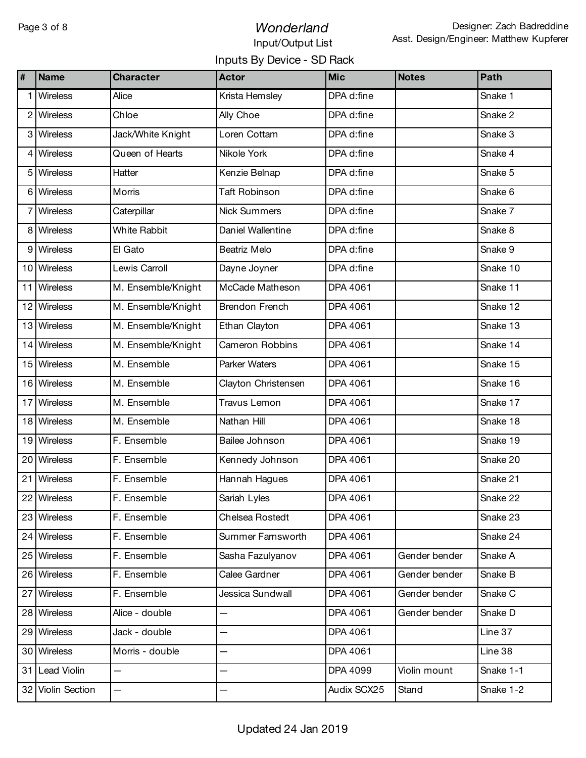# Page 3 of 8 **Wonderland** Input/Output List

## Inputs By Device - SD Rack

| #  | <b>Name</b>       | <b>Character</b>    | <b>Actor</b>           | <b>Mic</b>  | <b>Notes</b>  | Path      |
|----|-------------------|---------------------|------------------------|-------------|---------------|-----------|
|    | Wireless          | Alice               | Krista Hemsley         | DPA d:fine  |               | Snake 1   |
| 2  | <b>Wireless</b>   | Chloe               | Ally Choe              | DPA d:fine  |               | Snake 2   |
|    | 3 Wireless        | Jack/White Knight   | Loren Cottam           | DPA d:fine  |               | Snake 3   |
| 4  | Wireless          | Queen of Hearts     | Nikole York            | DPA d:fine  |               | Snake 4   |
|    | <b>Wireless</b>   | Hatter              | Kenzie Belnap          | DPA d:fine  |               | Snake 5   |
|    | 6 Wireless        | Morris              | <b>Taft Robinson</b>   | DPA d:fine  |               | Snake 6   |
|    | Wireless          | Caterpillar         | Nick Summers           | DPA d:fine  |               | Snake 7   |
| 8  | <b>Wireless</b>   | <b>White Rabbit</b> | Daniel Wallentine      | DPA d:fine  |               | Snake 8   |
| 9  | Wireless          | El Gato             | Beatriz Melo           | DPA d:fine  |               | Snake 9   |
|    | 10 Wireless       | Lewis Carroll       | Dayne Joyner           | DPA d:fine  |               | Snake 10  |
| 11 | <b>Wireless</b>   | M. Ensemble/Knight  | McCade Matheson        | DPA 4061    |               | Snake 11  |
|    | 12 Wireless       | M. Ensemble/Knight  | <b>Brendon French</b>  | DPA 4061    |               | Snake 12  |
|    | 13 Wireless       | M. Ensemble/Knight  | Ethan Clayton          | DPA 4061    |               | Snake 13  |
| 14 | <b>Wireless</b>   | M. Ensemble/Knight  | <b>Cameron Robbins</b> | DPA 4061    |               | Snake 14  |
|    | 15 Wireless       | M. Ensemble         | Parker Waters          | DPA 4061    |               | Snake 15  |
|    | 16 Wireless       | M. Ensemble         | Clayton Christensen    | DPA 4061    |               | Snake 16  |
| 17 | <b>Wireless</b>   | M. Ensemble         | Travus Lemon           | DPA 4061    |               | Snake 17  |
|    | 18 Wireless       | M. Ensemble         | Nathan Hill            | DPA 4061    |               | Snake 18  |
|    | 19 Wireless       | F. Ensemble         | Bailee Johnson         | DPA 4061    |               | Snake 19  |
| 20 | <b>Wireless</b>   | F. Ensemble         | Kennedy Johnson        | DPA 4061    |               | Snake 20  |
| 21 | Wireless          | F. Ensemble         | Hannah Hagues          | DPA 4061    |               | Snake 21  |
|    | 22 Wireless       | F. Ensemble         | Sariah Lyles           | DPA 4061    |               | Snake 22  |
|    | 23 Wireless       | F. Ensemble         | Chelsea Rostedt        | DPA 4061    |               | Snake 23  |
|    | 24 Wireless       | F. Ensemble         | Summer Farnsworth      | DPA 4061    |               | Snake 24  |
|    | 25 Wireless       | F. Ensemble         | Sasha Fazulyanov       | DPA 4061    | Gender bender | Snake A   |
|    | 26 Wireless       | F. Ensemble         | Calee Gardner          | DPA 4061    | Gender bender | Snake B   |
| 27 | Wireless          | F. Ensemble         | Jessica Sundwall       | DPA 4061    | Gender bender | Snake C   |
|    | 28 Wireless       | Alice - double      |                        | DPA 4061    | Gender bender | Snake D   |
| 29 | Wireless          | Jack - double       |                        | DPA 4061    |               | Line 37   |
|    | 30 Wireless       | Morris - double     | —                      | DPA 4061    |               | Line 38   |
|    | 31 Lead Violin    |                     |                        | DPA 4099    | Violin mount  | Snake 1-1 |
|    | 32 Violin Section | —                   | —                      | Audix SCX25 | Stand         | Snake 1-2 |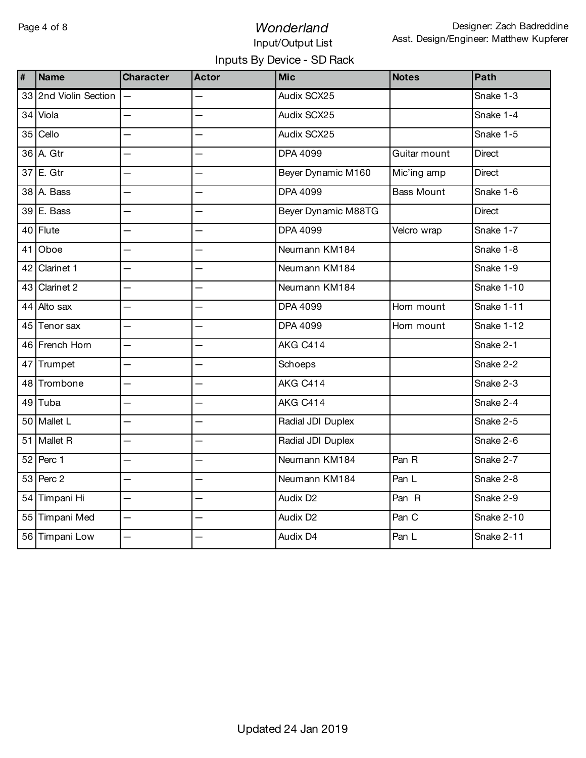# Page 4 of 8 **Wonderland**

# Input/Output List Inputs By Device - SD Rack

| $\sharp$ | <b>Name</b>           | <b>Character</b>         | <b>Actor</b>             | <b>Mic</b>                    | <b>Notes</b>      | Path          |
|----------|-----------------------|--------------------------|--------------------------|-------------------------------|-------------------|---------------|
|          | 33 2nd Violin Section |                          |                          | Audix SCX25                   |                   | Snake 1-3     |
| 34       | Viola                 | $\overline{\phantom{0}}$ |                          | Audix SCX25                   |                   | Snake 1-4     |
| 35       | Cello                 |                          |                          | Audix SCX25                   |                   | Snake 1-5     |
|          | 36 A. Gtr             |                          |                          | DPA 4099                      | Guitar mount      | <b>Direct</b> |
| 37       | E. Gtr                |                          |                          | Beyer Dynamic M160            | Mic'ing amp       | <b>Direct</b> |
| 38       | A. Bass               |                          |                          | DPA 4099                      | <b>Bass Mount</b> | Snake 1-6     |
| 39       | E. Bass               | $\overline{\phantom{0}}$ |                          | Beyer Dynamic M88TG           |                   | <b>Direct</b> |
|          | 40 Flute              |                          |                          | DPA 4099                      | Velcro wrap       | Snake 1-7     |
| 41       | Oboe                  | $\overline{\phantom{0}}$ |                          | Neumann KM184                 |                   | Snake 1-8     |
| 42       | Clarinet 1            | $\overline{\phantom{0}}$ |                          | Neumann KM184                 |                   | Snake 1-9     |
| 43       | Clarinet 2            | $\overline{\phantom{0}}$ | $\overline{\phantom{0}}$ | Neumann KM184                 |                   | Snake 1-10    |
|          | 44 Alto sax           |                          |                          | DPA 4099                      | Horn mount        | Snake 1-11    |
| 45       | Tenor sax             | $\overline{\phantom{0}}$ | $\overline{\phantom{0}}$ | DPA 4099                      | Horn mount        | Snake 1-12    |
|          | 46 French Horn        | $\overline{\phantom{0}}$ |                          | AKG C414                      |                   | Snake 2-1     |
| 47       | Trumpet               | $\overline{\phantom{0}}$ |                          | Schoeps                       |                   | Snake 2-2     |
| 48       | Trombone              | $\overline{\phantom{0}}$ |                          | AKG C414                      |                   | Snake 2-3     |
| 49       | Tuba                  |                          |                          | AKG C414                      |                   | Snake 2-4     |
|          | 50 Mallet L           | $\overline{\phantom{0}}$ |                          | Radial JDI Duplex             |                   | Snake 2-5     |
| 51       | Mallet R              | $\overline{\phantom{0}}$ | $\overline{\phantom{0}}$ | Radial JDI Duplex             |                   | Snake 2-6     |
|          | 52 Perc 1             | $\overline{\phantom{0}}$ | $\overline{\phantom{0}}$ | Neumann KM184                 | Pan R             | Snake 2-7     |
|          | 53 Perc 2             | $\overline{\phantom{0}}$ |                          | Neumann KM184                 | Pan L             | Snake 2-8     |
|          | 54 Timpani Hi         | $\overline{\phantom{0}}$ |                          | Audix D <sub>2</sub><br>Pan R |                   | Snake 2-9     |
|          | 55 Timpani Med        | $\overline{\phantom{0}}$ | $\overline{\phantom{0}}$ | Pan C<br>Audix D <sub>2</sub> |                   | Snake 2-10    |
|          | 56 Timpani Low        | $\overline{\phantom{0}}$ |                          | Audix D4                      | Pan L             |               |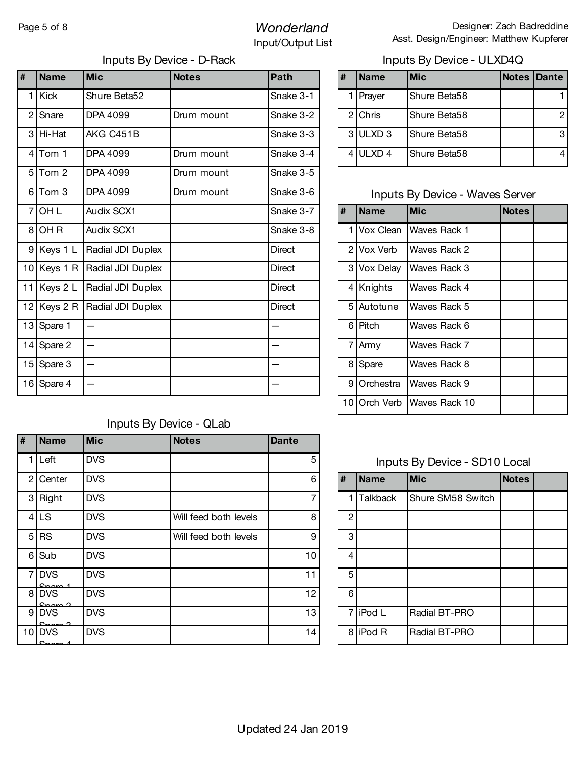# Page 5 of 8 **Wonderland** Input/Output List

| $\overline{\mathbf{H}}$ | <b>Name</b> | <b>Mic</b>                    | <b>Notes</b> | Path      | #              | <b>Name</b> | <b>Mic</b>                             | <b>Notes</b> | Dante          |
|-------------------------|-------------|-------------------------------|--------------|-----------|----------------|-------------|----------------------------------------|--------------|----------------|
|                         | 1 Kick      | Shure Beta52                  |              | Snake 3-1 |                | 1 Prayer    | Shure Beta58                           |              | 1              |
|                         | 2 Snare     | DPA 4099                      | Drum mount   | Snake 3-2 | $\overline{2}$ | Chris       | Shure Beta58                           |              | $\overline{c}$ |
|                         | 3 Hi-Hat    | AKG C451B                     |              | Snake 3-3 |                | 3ULXD 3     | Shure Beta58                           |              | 3              |
|                         | $4$ Tom 1   | DPA 4099                      | Drum mount   | Snake 3-4 |                | $4$ ULXD 4  | Shure Beta58                           |              | 4              |
|                         | $5$ Tom 2   | DPA 4099                      | Drum mount   | Snake 3-5 |                |             |                                        |              |                |
|                         | $6$ Tom 3   | DPA 4099                      | Drum mount   | Snake 3-6 |                |             | <b>Inputs By Device - Waves Server</b> |              |                |
|                         | $7$ OH L    | Audix SCX1                    |              | Snake 3-7 | #              | <b>Name</b> | <b>Mic</b>                             | <b>Notes</b> |                |
|                         | $8$ OHR     | Audix SCX1                    |              | Snake 3-8 |                | Vox Clean   | Waves Rack 1                           |              |                |
|                         | 9 Keys 1 L  | Radial JDI Duplex             |              | Direct    |                | 2 Vox Verb  | Waves Rack 2                           |              |                |
|                         | 10 Keys 1 R | Radial JDI Duplex             |              | Direct    |                | 3 Vox Delay | Waves Rack 3                           |              |                |
|                         | 11 Keys 2 L | Radial JDI Duplex             |              | Direct    |                | 4 Knights   | Waves Rack 4                           |              |                |
|                         |             | 12 Keys 2 R Radial JDI Duplex |              | Direct    |                | 5 Autotune  | Waves Rack 5                           |              |                |
|                         | 13 Spare 1  |                               |              |           |                | 6 Pitch     | Waves Rack 6                           |              |                |
|                         | 14 Spare 2  |                               |              |           |                | 7 Army      | Waves Rack 7                           |              |                |
|                         | 15 Spare 3  |                               |              |           |                | 8 Spare     | Waves Rack 8                           |              |                |
|                         | 16 Spare 4  |                               |              |           | 9              | Orchestra   | Waves Rack 9                           |              |                |

#### Inputs By Device - D-Rack Inputs By Device - ULXD4Q

| # | <b>Name</b>         | <b>Mic</b>   | <b>Notes Dante</b> |   |
|---|---------------------|--------------|--------------------|---|
|   | Prayer              | Shure Beta58 |                    |   |
|   | 2 Chris             | Shure Beta58 |                    | 2 |
|   | 3 ULXD <sub>3</sub> | Shure Beta58 |                    | 3 |
|   | ULXD <sub>4</sub>   | Shure Beta58 |                    |   |

### Inputs By Device - Waves Server

| # | <b>Name</b>    | <b>Mic</b>           | <b>Notes</b> |
|---|----------------|----------------------|--------------|
|   | 1 Vox Clean    | Waves Rack 1         |              |
|   | 2 I Vox Verb   | Waves Rack 2         |              |
|   | 3 Vox Delay    | Waves Rack 3         |              |
|   | 4 Knights      | Waves Rack 4         |              |
|   | 5 Autotune     | Waves Rack 5         |              |
|   | 6 Pitch        | Waves Rack 6         |              |
|   | 7 Army         | Waves Rack 7         |              |
| 8 | Spare          | Waves Rack 8         |              |
| 9 | Orchestra      | Waves Rack 9         |              |
|   | 10 I Orch Verb | <b>Waves Rack 10</b> |              |

# Inputs By Device - SD10 Local

| # | <b>Name</b>     | <b>Notes</b>      |  |  |  |  |  |
|---|-----------------|-------------------|--|--|--|--|--|
| 1 | <b>Talkback</b> | Shure SM58 Switch |  |  |  |  |  |
| 2 |                 |                   |  |  |  |  |  |
| 3 |                 |                   |  |  |  |  |  |
| 4 |                 |                   |  |  |  |  |  |
| 5 |                 |                   |  |  |  |  |  |
| 6 |                 |                   |  |  |  |  |  |
| 7 | iPod L          | Radial BT-PRO     |  |  |  |  |  |
| 8 | iPod R          | Radial BT-PRO     |  |  |  |  |  |

#### Inputs By Device - QLab

| # | <b>Name</b>              | <b>Mic</b> | <b>Notes</b>          | <b>Dante</b> |                |                 |                              |              |
|---|--------------------------|------------|-----------------------|--------------|----------------|-----------------|------------------------------|--------------|
|   | $L$ eft                  | <b>DVS</b> |                       | 5            |                |                 | Inputs By Device - SD10 Loca |              |
|   | 2 Center                 | <b>DVS</b> |                       | 6            | #              | Name            | <b>Mic</b>                   | <b>Notes</b> |
|   | 3 Right                  | <b>DVS</b> |                       |              | 1 I            | <b>Talkback</b> | Shure SM58 Switch            |              |
|   | 4 LS                     | <b>DVS</b> | Will feed both levels | 8            | 2              |                 |                              |              |
|   | $5$ RS                   | <b>DVS</b> | Will feed both levels | 9            | 3              |                 |                              |              |
|   | 6 Sub                    | <b>DVS</b> |                       | 10           | $\overline{4}$ |                 |                              |              |
|   | 7 DVS                    | <b>DVS</b> |                       | 11           | 5              |                 |                              |              |
|   | 8 DVS<br>$C_{n \cdot n}$ | <b>DVS</b> |                       | 12           | 6              |                 |                              |              |
|   | 9 DVS<br>$C_{n \cdot n}$ | <b>DVS</b> |                       | 13           |                | 7 iPod L        | Radial BT-PRO                |              |
|   | $10$ DVS<br>مسمحه        | <b>DVS</b> |                       | 14           |                | 8 iPod R        | Radial BT-PRO                |              |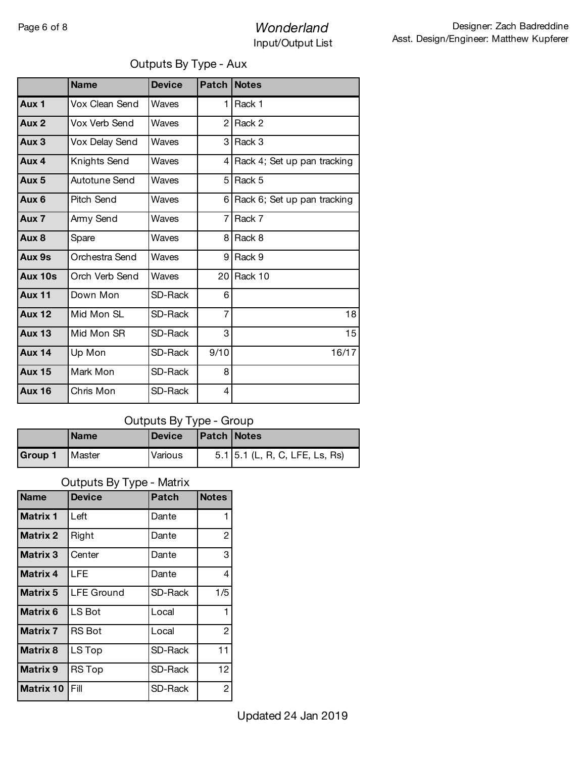# Page 6 of 8 **Wonderland** Input/Output List

#### Outputs By Type - Aux

| <b>Name</b>    | <b>Device</b> | Patch          | <b>Notes</b>                  |
|----------------|---------------|----------------|-------------------------------|
| Vox Clean Send | Waves         | 1              | Rack 1                        |
| Vox Verb Send  | Waves         | $\mathcal{P}$  | Rack 2                        |
| Vox Delay Send | Waves         | 3              | Rack 3                        |
| Knights Send   | Waves         |                | 4 Rack 4; Set up pan tracking |
| Autotune Send  | Waves         | 5.             | Rack 5                        |
| Pitch Send     | Waves         |                | 6 Rack 6; Set up pan tracking |
| Army Send      | Waves         | 7              | Rack 7                        |
| Spare          | Waves         | 8              | Rack 8                        |
| Orchestra Send | Waves         | 9              | Rack 9                        |
| Orch Verb Send | Waves         | 20             | Rack 10                       |
| Down Mon       | SD-Rack       | 6              |                               |
| Mid Mon SL     | SD-Rack       | $\overline{7}$ | 18                            |
| Mid Mon SR     | SD-Rack       | 3              | 15                            |
| Up Mon         | SD-Rack       | 9/10           | 16/17                         |
| Mark Mon       | SD-Rack       | 8              |                               |
| Chris Mon      | SD-Rack       | 4              |                               |
|                |               |                |                               |

#### Outputs By Type - Group

|                | <b>Name</b>     | <b>Device</b> | <b>Patch Notes</b> |                                  |
|----------------|-----------------|---------------|--------------------|----------------------------------|
| <b>Group 1</b> | <b>I</b> Master | Various       |                    | $5.1$ 5.1 (L, R, C, LFE, Ls, Rs) |

#### Outputs By Type - Matrix

| <b>Name</b>      | <b>Device</b>     | <b>Patch</b> | <b>Notes</b>   |
|------------------|-------------------|--------------|----------------|
| <b>Matrix 1</b>  | Left              | Dante        | 1              |
| <b>Matrix 2</b>  | Right             | Dante        | $\overline{c}$ |
| <b>Matrix 3</b>  | Center            | Dante        | 3              |
| <b>Matrix 4</b>  | LFE               | Dante        | 4              |
| <b>Matrix 5</b>  | <b>LFE Ground</b> | SD-Rack      | 1/5            |
| <b>Matrix 6</b>  | LS Bot            | Local        | 1              |
| <b>Matrix 7</b>  | <b>RS</b> Bot     | Local        | $\overline{c}$ |
| <b>Matrix 8</b>  | LS Top            | SD-Rack      | 11             |
| <b>Matrix 9</b>  | <b>RS Top</b>     | SD-Rack      | 12             |
| <b>Matrix 10</b> | Fill              | SD-Rack      | $\overline{c}$ |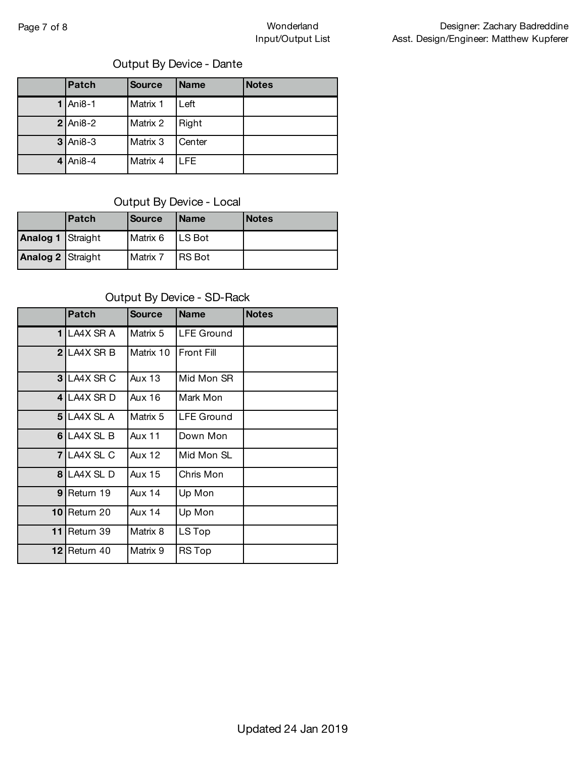# Output By Device - Dante

| <b>Patch</b> | <b>Source</b> | <b>Name</b> | <b>Notes</b> |
|--------------|---------------|-------------|--------------|
| $1$ Ani8-1   | Matrix 1      | Left        |              |
| $2$ Ani8-2   | Matrix 2      | Right       |              |
| $3$ Ani8-3   | Matrix 3      | Center      |              |
| $4$ Ani8-4   | Matrix 4      | LFE.        |              |

#### Output By Device - Local

|                          | l Patch | <b>Source</b> | <b>IName</b>  | <b>Notes</b> |
|--------------------------|---------|---------------|---------------|--------------|
| <b>Analog 1 Straight</b> |         | Matrix 6      | <b>LS Bot</b> |              |
| Analog 2 Straight        |         | Matrix 7      | <b>RS</b> Bot |              |

#### Output By Device - SD-Rack

|                | <b>Patch</b>       | <b>Source</b> | <b>Name</b>       | <b>Notes</b> |
|----------------|--------------------|---------------|-------------------|--------------|
| 11             | LA4X SR A          | Matrix 5      | <b>LFE Ground</b> |              |
| $\mathbf{2}$   | LA4X SR B          | Matrix 10     | <b>Front Fill</b> |              |
| 3 <sub>l</sub> | LA4X SR C          | <b>Aux 13</b> | Mid Mon SR        |              |
| $\overline{4}$ | LA4X SR D          | <b>Aux 16</b> | Mark Mon          |              |
|                | 5 LA4X SL A        | Matrix 5      | <b>LFE</b> Ground |              |
| 6              | LA4X SL B          | <b>Aux 11</b> | Down Mon          |              |
|                | <b>7 LA4X SL C</b> | <b>Aux 12</b> | Mid Mon SL        |              |
| 8              | LA4X SLD           | Aux 15        | Chris Mon         |              |
| 9              | Return 19          | <b>Aux 14</b> | Up Mon            |              |
| 10             | Return 20          | Aux 14        | Up Mon            |              |
| 11             | Return 39          | Matrix 8      | LS Top            |              |
| 12             | Return 40          | Matrix 9      | <b>RS Top</b>     |              |